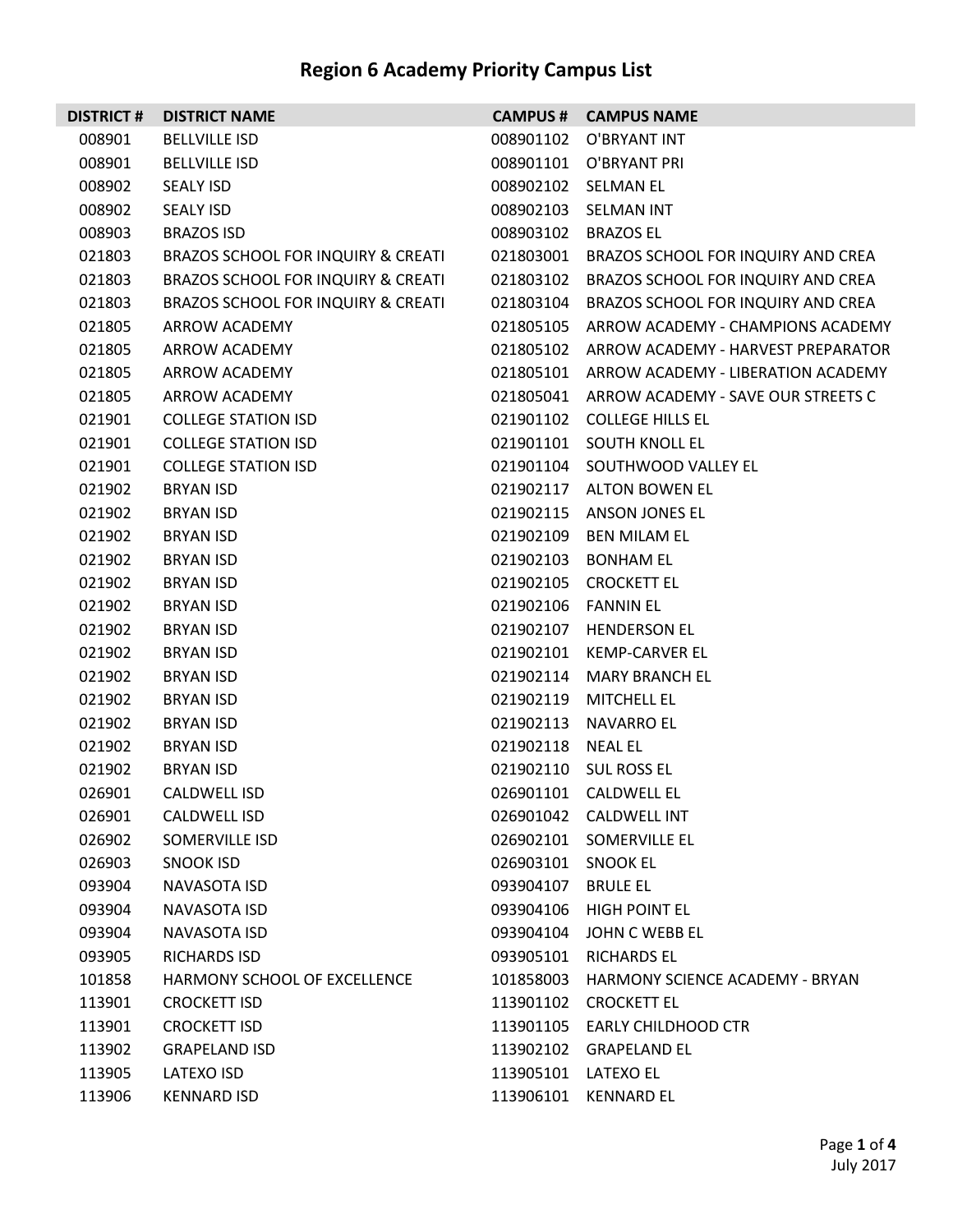| <b>DISTRICT#</b> | <b>DISTRICT NAME</b>               |                     | <b>CAMPUS # CAMPUS NAME</b>                  |
|------------------|------------------------------------|---------------------|----------------------------------------------|
| 008901           | <b>BELLVILLE ISD</b>               | 008901102           | O'BRYANT INT                                 |
| 008901           | <b>BELLVILLE ISD</b>               |                     | 008901101 O'BRYANT PRI                       |
| 008902           | <b>SEALY ISD</b>                   |                     | 008902102 SELMAN EL                          |
| 008902           | <b>SEALY ISD</b>                   | 008902103           | SELMAN INT                                   |
| 008903           | <b>BRAZOS ISD</b>                  | 008903102           | <b>BRAZOS EL</b>                             |
| 021803           | BRAZOS SCHOOL FOR INQUIRY & CREATI | 021803001           | BRAZOS SCHOOL FOR INQUIRY AND CREA           |
| 021803           | BRAZOS SCHOOL FOR INQUIRY & CREATI | 021803102           | BRAZOS SCHOOL FOR INQUIRY AND CREA           |
| 021803           | BRAZOS SCHOOL FOR INQUIRY & CREATI | 021803104           | <b>BRAZOS SCHOOL FOR INQUIRY AND CREA</b>    |
| 021805           | ARROW ACADEMY                      | 021805105           | ARROW ACADEMY - CHAMPIONS ACADEMY            |
| 021805           | ARROW ACADEMY                      |                     | 021805102 ARROW ACADEMY - HARVEST PREPARATOR |
| 021805           | ARROW ACADEMY                      |                     | 021805101 ARROW ACADEMY - LIBERATION ACADEMY |
| 021805           | ARROW ACADEMY                      |                     | 021805041 ARROW ACADEMY - SAVE OUR STREETS C |
| 021901           | <b>COLLEGE STATION ISD</b>         |                     | 021901102 COLLEGE HILLS EL                   |
| 021901           | <b>COLLEGE STATION ISD</b>         |                     | 021901101 SOUTH KNOLL EL                     |
| 021901           | <b>COLLEGE STATION ISD</b>         | 021901104           | SOUTHWOOD VALLEY EL                          |
| 021902           | <b>BRYAN ISD</b>                   |                     | 021902117 ALTON BOWEN EL                     |
| 021902           | <b>BRYAN ISD</b>                   | 021902115           | ANSON JONES EL                               |
| 021902           | <b>BRYAN ISD</b>                   | 021902109           | BEN MILAM EL                                 |
| 021902           | <b>BRYAN ISD</b>                   | 021902103           | <b>BONHAM EL</b>                             |
| 021902           | <b>BRYAN ISD</b>                   | 021902105           | CROCKETT EL                                  |
| 021902           | <b>BRYAN ISD</b>                   | 021902106           | <b>FANNIN EL</b>                             |
| 021902           | <b>BRYAN ISD</b>                   | 021902107           | <b>HENDERSON EL</b>                          |
| 021902           | <b>BRYAN ISD</b>                   | 021902101           | KEMP-CARVER EL                               |
| 021902           | <b>BRYAN ISD</b>                   | 021902114           | MARY BRANCH EL                               |
| 021902           | <b>BRYAN ISD</b>                   | 021902119           | <b>MITCHELL EL</b>                           |
| 021902           | <b>BRYAN ISD</b>                   | 021902113           | NAVARRO EL                                   |
| 021902           | <b>BRYAN ISD</b>                   | 021902118           | <b>NEAL EL</b>                               |
| 021902           | <b>BRYAN ISD</b>                   |                     | 021902110 SUL ROSS EL                        |
| 026901           | CALDWELL ISD                       |                     | 026901101 CALDWELL EL                        |
| 026901           | CALDWELL ISD                       |                     | 026901042 CALDWELL INT                       |
| 026902           | SOMERVILLE ISD                     |                     | 026902101 SOMERVILLE EL                      |
| 026903           | SNOOK ISD                          | 026903101 SNOOK EL  |                                              |
| 093904           | NAVASOTA ISD                       | 093904107           | <b>BRULE EL</b>                              |
| 093904           | NAVASOTA ISD                       |                     | 093904106 HIGH POINT EL                      |
| 093904           | NAVASOTA ISD                       | 093904104           | JOHN C WEBB EL                               |
| 093905           | <b>RICHARDS ISD</b>                |                     | 093905101 RICHARDS EL                        |
| 101858           | HARMONY SCHOOL OF EXCELLENCE       |                     | 101858003 HARMONY SCIENCE ACADEMY - BRYAN    |
| 113901           | <b>CROCKETT ISD</b>                |                     | 113901102 CROCKETT EL                        |
| 113901           | <b>CROCKETT ISD</b>                |                     | 113901105 EARLY CHILDHOOD CTR                |
| 113902           | <b>GRAPELAND ISD</b>               |                     | 113902102 GRAPELAND EL                       |
| 113905           | LATEXO ISD                         | 113905101 LATEXO EL |                                              |
| 113906           | <b>KENNARD ISD</b>                 |                     | 113906101 KENNARD EL                         |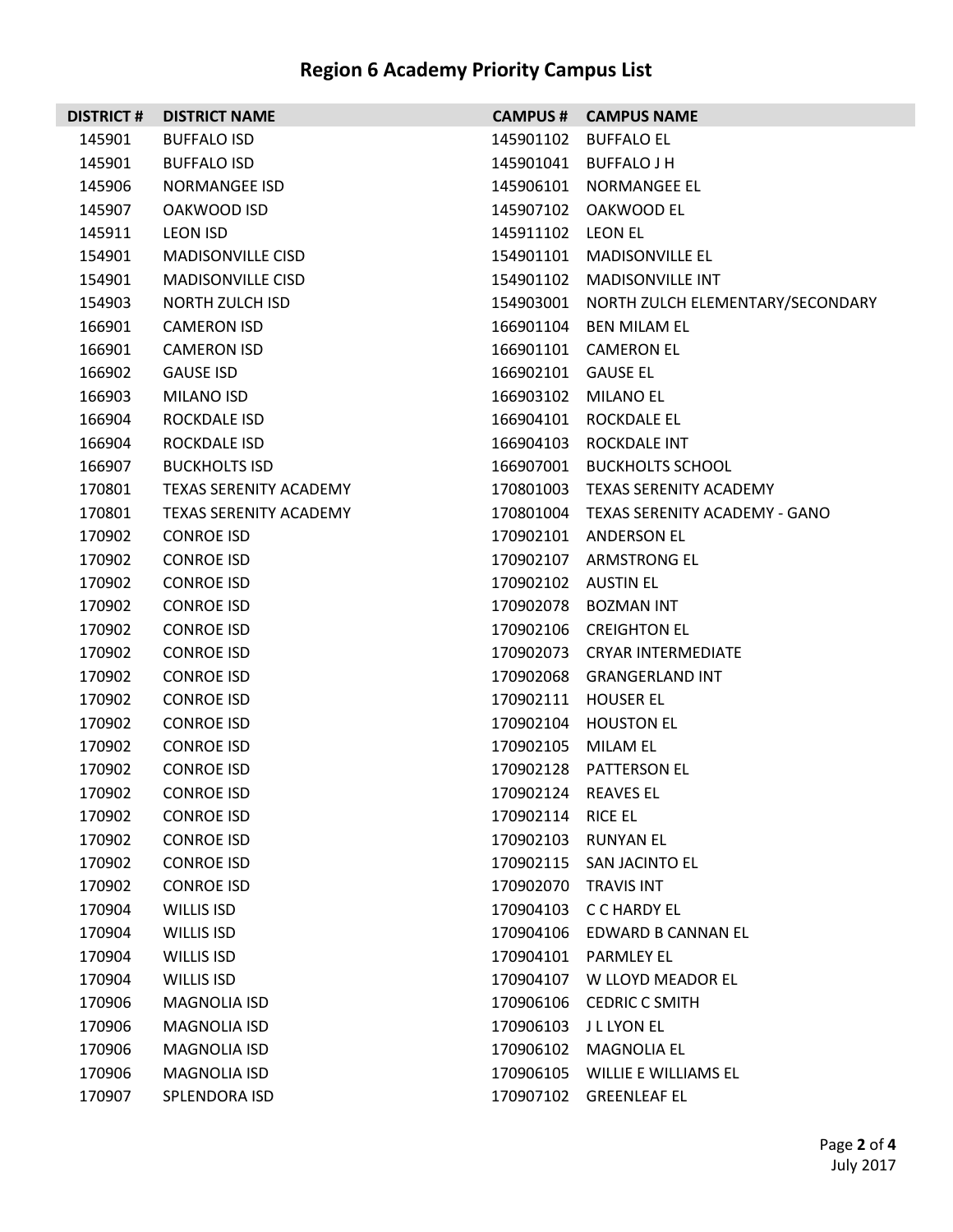|        | <b>DISTRICT # DISTRICT NAME</b> |                      | <b>CAMPUS # CAMPUS NAME</b>                |
|--------|---------------------------------|----------------------|--------------------------------------------|
| 145901 | <b>BUFFALO ISD</b>              |                      | 145901102 BUFFALO EL                       |
| 145901 | <b>BUFFALO ISD</b>              |                      | 145901041 BUFFALO J H                      |
| 145906 | NORMANGEE ISD                   |                      | 145906101 NORMANGEE EL                     |
| 145907 | OAKWOOD ISD                     |                      | 145907102 OAKWOOD EL                       |
| 145911 | <b>LEON ISD</b>                 | 145911102 LEON EL    |                                            |
| 154901 | <b>MADISONVILLE CISD</b>        |                      | 154901101 MADISONVILLE EL                  |
| 154901 | <b>MADISONVILLE CISD</b>        |                      | 154901102 MADISONVILLE INT                 |
| 154903 | NORTH ZULCH ISD                 |                      | 154903001 NORTH ZULCH ELEMENTARY/SECONDARY |
| 166901 | <b>CAMERON ISD</b>              |                      | 166901104 BEN MILAM EL                     |
| 166901 | <b>CAMERON ISD</b>              |                      | 166901101 CAMERON EL                       |
| 166902 | <b>GAUSE ISD</b>                | 166902101 GAUSE EL   |                                            |
| 166903 | MILANO ISD                      |                      | 166903102 MILANO EL                        |
| 166904 | ROCKDALE ISD                    |                      | 166904101 ROCKDALE EL                      |
| 166904 | ROCKDALE ISD                    |                      | 166904103 ROCKDALE INT                     |
| 166907 | <b>BUCKHOLTS ISD</b>            |                      | 166907001 BUCKHOLTS SCHOOL                 |
| 170801 | TEXAS SERENITY ACADEMY          |                      | 170801003 TEXAS SERENITY ACADEMY           |
| 170801 | <b>TEXAS SERENITY ACADEMY</b>   |                      | 170801004 TEXAS SERENITY ACADEMY - GANO    |
| 170902 | <b>CONROE ISD</b>               |                      | 170902101 ANDERSON EL                      |
| 170902 | <b>CONROE ISD</b>               |                      | 170902107 ARMSTRONG EL                     |
| 170902 | <b>CONROE ISD</b>               | 170902102 AUSTIN EL  |                                            |
| 170902 | <b>CONROE ISD</b>               |                      | 170902078 BOZMAN INT                       |
| 170902 | <b>CONROE ISD</b>               |                      | 170902106 CREIGHTON EL                     |
| 170902 | <b>CONROE ISD</b>               |                      | 170902073 CRYAR INTERMEDIATE               |
| 170902 | <b>CONROE ISD</b>               |                      | 170902068 GRANGERLAND INT                  |
| 170902 | <b>CONROE ISD</b>               |                      | 170902111 HOUSER EL                        |
| 170902 | <b>CONROE ISD</b>               |                      | 170902104 HOUSTON EL                       |
| 170902 | <b>CONROE ISD</b>               | 170902105 MILAM EL   |                                            |
| 170902 | <b>CONROE ISD</b>               |                      | 170902128 PATTERSON EL                     |
| 170902 | <b>CONROE ISD</b>               | 170902124 REAVES EL  |                                            |
| 170902 | <b>CONROE ISD</b>               | 170902114            | <b>RICE EL</b>                             |
| 170902 | <b>CONROE ISD</b>               |                      | 170902103 RUNYAN EL                        |
| 170902 | <b>CONROE ISD</b>               |                      | 170902115 SAN JACINTO EL                   |
| 170902 | <b>CONROE ISD</b>               | 170902070 TRAVIS INT |                                            |
| 170904 | WILLIS ISD                      | 170904103            | C C HARDY EL                               |
| 170904 | WILLIS ISD                      |                      | 170904106 EDWARD B CANNAN EL               |
| 170904 | WILLIS ISD                      |                      | 170904101 PARMLEY EL                       |
| 170904 | WILLIS ISD                      | 170904107            | W LLOYD MEADOR EL                          |
| 170906 | <b>MAGNOLIA ISD</b>             | 170906106            | <b>CEDRIC C SMITH</b>                      |
| 170906 | <b>MAGNOLIA ISD</b>             |                      | 170906103 J L LYON EL                      |
| 170906 | <b>MAGNOLIA ISD</b>             | 170906102            | <b>MAGNOLIA EL</b>                         |
| 170906 | <b>MAGNOLIA ISD</b>             | 170906105            | WILLIE E WILLIAMS EL                       |
| 170907 | SPLENDORA ISD                   | 170907102            | <b>GREENLEAF EL</b>                        |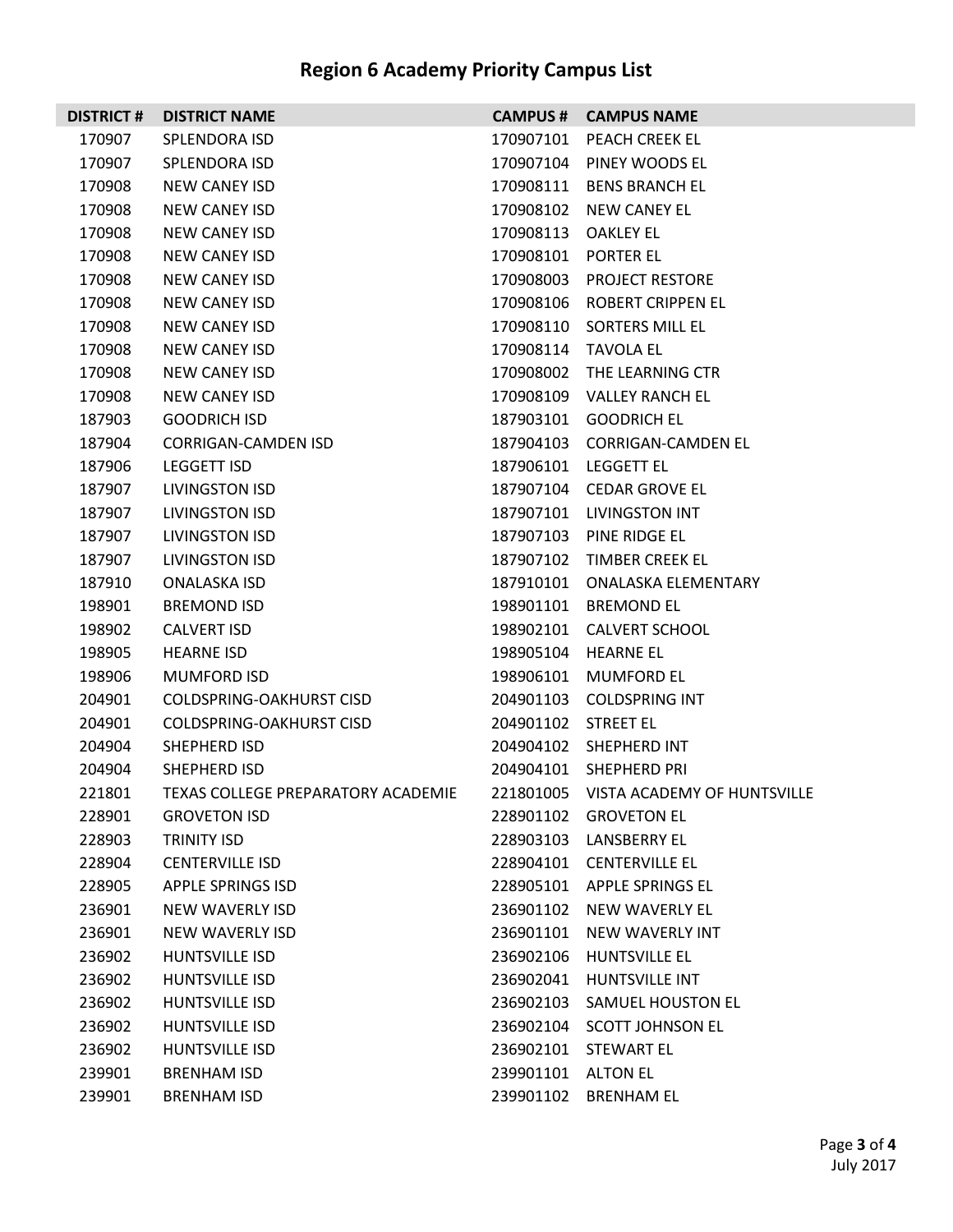| <b>DISTRICT#</b> | <b>DISTRICT NAME</b>                      |                     | <b>CAMPUS # CAMPUS NAME</b>           |
|------------------|-------------------------------------------|---------------------|---------------------------------------|
| 170907           | <b>SPLENDORA ISD</b>                      | 170907101           | PEACH CREEK EL                        |
| 170907           | <b>SPLENDORA ISD</b>                      |                     | 170907104 PINEY WOODS EL              |
| 170908           | <b>NEW CANEY ISD</b>                      | 170908111           | <b>BENS BRANCH EL</b>                 |
| 170908           | NEW CANEY ISD                             |                     | 170908102 NEW CANEY EL                |
| 170908           | NEW CANEY ISD                             | 170908113           | OAKLEY EL                             |
| 170908           | NEW CANEY ISD                             |                     | 170908101 PORTER EL                   |
| 170908           | NEW CANEY ISD                             |                     | 170908003 PROJECT RESTORE             |
| 170908           | NEW CANEY ISD                             |                     | 170908106 ROBERT CRIPPEN EL           |
| 170908           | NEW CANEY ISD                             |                     | 170908110 SORTERS MILL EL             |
| 170908           | NEW CANEY ISD                             |                     | 170908114 TAVOLA EL                   |
| 170908           | NEW CANEY ISD                             |                     | 170908002 THE LEARNING CTR            |
| 170908           | NEW CANEY ISD                             |                     | 170908109 VALLEY RANCH EL             |
| 187903           | <b>GOODRICH ISD</b>                       |                     | 187903101 GOODRICH EL                 |
| 187904           | CORRIGAN-CAMDEN ISD                       |                     | 187904103 CORRIGAN-CAMDEN EL          |
| 187906           | LEGGETT ISD                               |                     | 187906101 LEGGETT EL                  |
| 187907           | LIVINGSTON ISD                            |                     | 187907104 CEDAR GROVE EL              |
| 187907           | <b>LIVINGSTON ISD</b>                     | 187907101           | <b>LIVINGSTON INT</b>                 |
| 187907           | LIVINGSTON ISD                            |                     | 187907103 PINE RIDGE EL               |
| 187907           | <b>LIVINGSTON ISD</b>                     |                     | 187907102 TIMBER CREEK EL             |
| 187910           | ONALASKA ISD                              |                     | 187910101 ONALASKA ELEMENTARY         |
| 198901           | <b>BREMOND ISD</b>                        | 198901101           | <b>BREMOND EL</b>                     |
| 198902           | <b>CALVERT ISD</b>                        |                     | 198902101 CALVERT SCHOOL              |
| 198905           | <b>HEARNE ISD</b>                         |                     | 198905104 HEARNE EL                   |
| 198906           | <b>MUMFORD ISD</b>                        |                     | 198906101 MUMFORD EL                  |
| 204901           | <b>COLDSPRING-OAKHURST CISD</b>           |                     | 204901103 COLDSPRING INT              |
| 204901           | COLDSPRING-OAKHURST CISD                  | 204901102 STREET EL |                                       |
| 204904           | SHEPHERD ISD                              |                     | 204904102 SHEPHERD INT                |
| 204904           | SHEPHERD ISD                              |                     | 204904101 SHEPHERD PRI                |
|                  | 221801 TEXAS COLLEGE PREPARATORY ACADEMIE |                     | 221801005 VISTA ACADEMY OF HUNTSVILLE |
| 228901           | <b>GROVETON ISD</b>                       |                     | 228901102 GROVETON EL                 |
| 228903           | <b>TRINITY ISD</b>                        | 228903103           | <b>LANSBERRY EL</b>                   |
| 228904           | <b>CENTERVILLE ISD</b>                    |                     | 228904101 CENTERVILLE EL              |
| 228905           | <b>APPLE SPRINGS ISD</b>                  |                     | 228905101 APPLE SPRINGS EL            |
| 236901           | NEW WAVERLY ISD                           |                     | 236901102 NEW WAVERLY EL              |
| 236901           | <b>NEW WAVERLY ISD</b>                    | 236901101           | <b>NEW WAVERLY INT</b>                |
| 236902           | HUNTSVILLE ISD                            | 236902106           | <b>HUNTSVILLE EL</b>                  |
| 236902           | HUNTSVILLE ISD                            | 236902041           | HUNTSVILLE INT                        |
| 236902           | HUNTSVILLE ISD                            | 236902103           | SAMUEL HOUSTON EL                     |
| 236902           | HUNTSVILLE ISD                            | 236902104           | <b>SCOTT JOHNSON EL</b>               |
| 236902           | HUNTSVILLE ISD                            | 236902101           | STEWART EL                            |
| 239901           | <b>BRENHAM ISD</b>                        | 239901101 ALTON EL  |                                       |
| 239901           | <b>BRENHAM ISD</b>                        | 239901102           | <b>BRENHAM EL</b>                     |